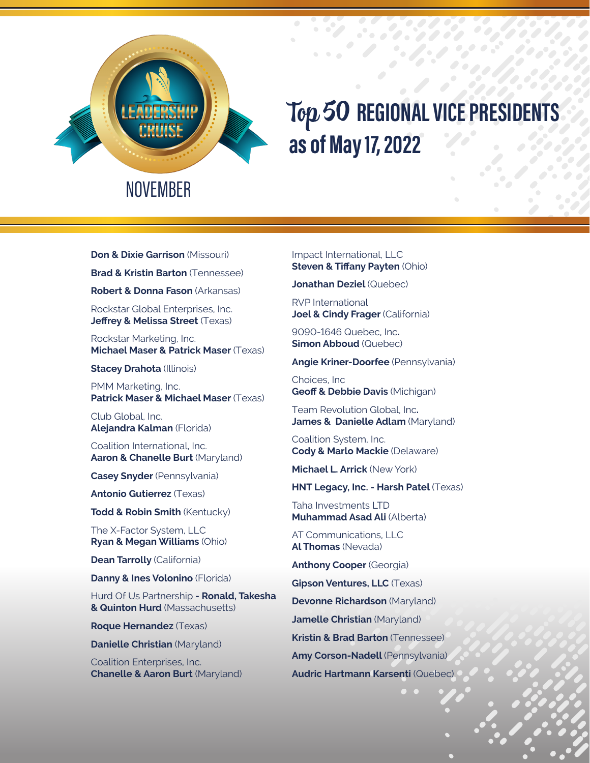

## Top 50 **REGIONAL VICE PRESIDENTS as of May 17, 2022**

**Don & Dixie Garrison** (Missouri)

**Brad & Kristin Barton** (Tennessee)

**Robert & Donna Fason** (Arkansas)

Rockstar Global Enterprises, Inc. **Jeffrey & Melissa Street** (Texas)

Rockstar Marketing, Inc. **Michael Maser & Patrick Maser** (Texas)

**Stacey Drahota** (Illinois)

PMM Marketing, Inc. **Patrick Maser & Michael Maser** (Texas)

Club Global, Inc. **Alejandra Kalman** (Florida)

Coalition International, Inc. **Aaron & Chanelle Burt** (Maryland)

**Casey Snyder** (Pennsylvania)

**Antonio Gutierrez** (Texas)

**Todd & Robin Smith** (Kentucky)

The X-Factor System, LLC **Ryan & Megan Williams** (Ohio)

**Dean Tarrolly** (California)

**Danny & Ines Volonino** (Florida)

Hurd Of Us Partnership **- Ronald, Takesha & Quinton Hurd** (Massachusetts)

**Roque Hernandez** (Texas)

**Danielle Christian** (Maryland)

Coalition Enterprises, Inc. **Chanelle & Aaron Burt** (Maryland) Impact International, LLC **Steven & Tiffany Payten** (Ohio)

**Jonathan Deziel** (Quebec)

RVP International **Joel & Cindy Frager** (California)

9090-1646 Quebec, Inc**. Simon Abboud** (Quebec)

**Angie Kriner-Doorfee** (Pennsylvania)

Choices, Inc **Geoff & Debbie Davis** (Michigan)

Team Revolution Global, Inc**. James & Danielle Adlam** (Maryland)

Coalition System, Inc. **Cody & Marlo Mackie** (Delaware)

**Michael L. Arrick** (New York)

**HNT Legacy, Inc. - Harsh Patel** (Texas)

Taha Investments LTD **Muhammad Asad Ali** (Alberta)

AT Communications, LLC **Al Thomas** (Nevada)

**Anthony Cooper** (Georgia)

**Gipson Ventures, LLC** (Texas)

**Devonne Richardson** (Maryland)

**Jamelle Christian** (Maryland)

**Kristin & Brad Barton** (Tennessee)

**Amy Corson-Nadell** (Pennsylvania)

**Audric Hartmann Karsenti** (Quebec)